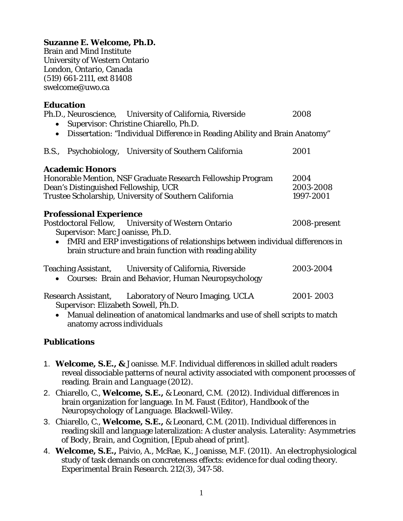## **Suzanne E. Welcome, Ph.D.**

Brain and Mind Institute University of Western Ontario London, Ontario, Canada (519) 661-2111, ext 81408 swelcome@uwo.ca

| <b>Education</b>                                                                                                                                       |              |
|--------------------------------------------------------------------------------------------------------------------------------------------------------|--------------|
| Ph.D., Neuroscience, University of California, Riverside                                                                                               | 2008         |
| Supervisor: Christine Chiarello, Ph.D.                                                                                                                 |              |
| Dissertation: "Individual Difference in Reading Ability and Brain Anatomy"<br>$\bullet$                                                                |              |
| B.S., Psychobiology, University of Southern California                                                                                                 | 2001         |
| <b>Academic Honors</b>                                                                                                                                 |              |
| Honorable Mention, NSF Graduate Research Fellowship Program                                                                                            | 2004         |
| Dean's Distinguished Fellowship, UCR                                                                                                                   | 2003-2008    |
| Trustee Scholarship, University of Southern California                                                                                                 | 1997-2001    |
| <b>Professional Experience</b>                                                                                                                         |              |
| Postdoctoral Fellow, University of Western Ontario<br>Supervisor: Marc Joanisse, Ph.D.                                                                 | 2008-present |
| fMRI and ERP investigations of relationships between individual differences in<br>$\bullet$<br>brain structure and brain function with reading ability |              |
| Teaching Assistant, University of California, Riverside<br><b>Courses: Brain and Behavior, Human Neuropsychology</b>                                   | 2003-2004    |
| Research Assistant, Laboratory of Neuro Imaging, UCLA<br>Supervisor: Elizabeth Sowell, Ph.D.                                                           | 2001-2003    |
| • Manual delineation of anatomical landmarks and use of shell scripts to match                                                                         |              |

## **Publications**

anatomy across individuals

- 1. **Welcome, S.E., &** Joanisse. M.F. Individual differences in skilled adult readers reveal dissociable patterns of neural activity associated with component processes of reading. *Brain and Language* (2012).
- 2. Chiarello, C., **Welcome, S.E.,** & Leonard, C.M. (2012). Individual differences in brain organization for language. In M. Faust (Editor), *Handbook of the Neuropsychology of Language*. Blackwell-Wiley.
- 3. Chiarello, C., **Welcome, S.E.,** & Leonard, C.M. (2011). Individual differences in reading skill and language lateralization: A cluster analysis. *Lat*erality*: Asymmetries of Body, Brain, and Cognition*, [Epub ahead of print].
- 4. **Welcome, S.E.,** Paivio, A., McRae, K., Joanisse, M.F. (2011). An electrophysiological study of task demands on concreteness effects: evidence for dual coding theory. *Experimental Brain Research. 212(3),* 347-58.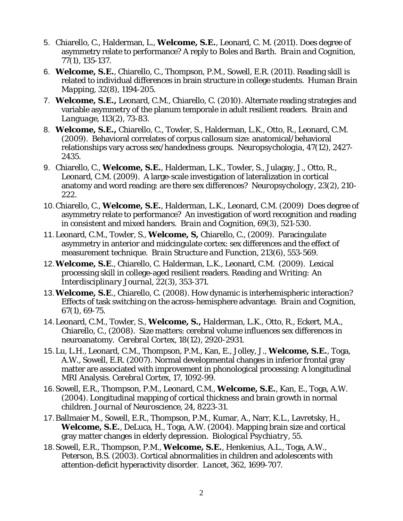- 5. Chiarello, C., Halderman, L., **Welcome, S.E.**, Leonard, C. M. (2011). Does degree of asymmetry relate to performance? A reply to Boles and Barth. *Brain and Cognition, 77(1),* 135-137.
- 6. **Welcome, S.E.**, Chiarello, C., Thompson, P.M., Sowell, E.R. (2011). Reading skill is related to individual differences in brain structure in college students. *Human Brain Mapping, 32(8),* 1194-205.
- 7. **Welcome, S.E.,** Leonard, C.M., Chiarello, C. (2010). Alternate reading strategies and variable asymmetry of the planum temporale in adult resilient readers. *Brain and Language, 113(2),* 73-83.
- 8. **Welcome, S.E.,** Chiarello, C., Towler, S., Halderman, L.K., Otto, R., Leonard, C.M. (2009). Behavioral correlates of corpus callosum size: anatomical/behavioral relationships vary across sex/handedness groups. *Neuropsychologia, 47(12),* 2427- 2435.
- 9. Chiarello, C., **Welcome, S.E.**, Halderman, L.K., Towler, S., Julagay, J., Otto, R., Leonard, C.M. (2009). A large-scale investigation of lateralization in cortical anatomy and word reading: are there sex differences? *Neuropsychology, 23(2),* 210- 222.
- 10.Chiarello, C., **Welcome, S.E.**, Halderman, L.K., Leonard, C.M. (2009) Does degree of asymmetry relate to performance? An investigation of word recognition and reading in consistent and mixed handers. *Brain and Cognition, 69(3),* 521-530.
- 11.Leonard, C.M., Towler, S., **Welcome, S,** Chiarello, C., (2009). Paracingulate asymmetry in anterior and midcingulate cortex: sex differences and the effect of measurement technique. *Brain Structure and Function, 213(6)*, 553-569.
- 12.**Welcome, S.E**., Chiarello, C. Halderman, L.K., Leonard, C.M. (2009). Lexical processing skill in college-aged resilient readers. *Reading and Writing: An Interdisciplinary Journal, 22(3),* 353-371.
- 13.**Welcome, S.E**., Chiarello, C. (2008). How dynamic is interhemispheric interaction? Effects of task switching on the across-hemisphere advantage. *Brain and Cognition, 67(1),* 69-75.
- 14.Leonard, C.M., Towler, S., **Welcome, S.,** Halderman, L.K., Otto, R., Eckert, M.A., Chiarello, C., (2008). Size matters: cerebral volume influences sex differences in neuroanatomy. *Cerebral Cortex, 18(12),* 2920-2931.
- 15.Lu, L.H., Leonard, C.M., Thompson, P.M., Kan, E., Jolley, J., **Welcome, S.E.**, Toga, A.W., Sowell, E.R. (2007). Normal developmental changes in inferior frontal gray matter are associated with improvement in phonological processing: A longitudinal MRI Analysis. *Cerebral Cortex, 17,* 1092-99.
- 16.Sowell, E.R., Thompson, P.M., Leonard, C.M., **Welcome, S.E.**, Kan, E., Toga, A.W. (2004). Longitudinal mapping of cortical thickness and brain growth in normal children. *Journal of Neuroscience*, 24, 8223-31.
- 17.Ballmaier M., Sowell, E.R., Thompson, P.M., Kumar, A., Narr, K.L., Lavretsky, H., **Welcome, S.E.**, DeLuca, H., Toga, A.W. (2004). Mapping brain size and cortical gray matter changes in elderly depression. *Biological Psychiatry*, 55.
- 18.Sowell, E.R., Thompson, P.M., **Welcome, S.E.**, Henkenius, A.L., Toga, A.W., Peterson, B.S. (2003). Cortical abnormalities in children and adolescents with attention-deficit hyperactivity disorder. *Lancet*, 362, 1699-707.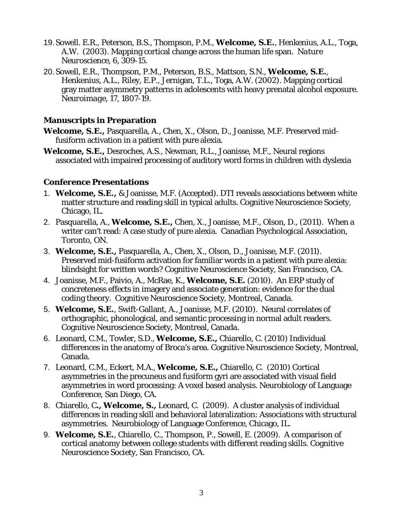- 19.Sowell. E.R., Peterson, B.S., Thompson, P.M., **Welcome, S.E.**, Henkenius, A.L., Toga, A.W. (2003). Mapping cortical change across the human life span. *Nature Neuroscience*, 6, 309-15.
- 20.Sowell, E.R., Thompson, P.M., Peterson, B.S., Mattson, S.N., **Welcome, S.E.**, Henkenius, A.L., Riley, E.P., Jernigan, T.L., Toga, A.W. (2002). Mapping cortical gray matter asymmetry patterns in adolescents with heavy prenatal alcohol exposure. *Neuroimage*, 17, 1807-19.

## **Manuscripts in Preparation**

**Welcome, S.E.,** Pasquarella, A., Chen, X., Olson, D., Joanisse, M.F. Preserved midfusiform activation in a patient with pure alexia.

**Welcome, S.E.,** Desroches, A.S., Newman, R.L., Joanisse, M.F., Neural regions associated with impaired processing of auditory word forms in children with dyslexia

## **Conference Presentations**

- 1. **Welcome, S.E.,** & Joanisse, M.F. (Accepted). DTI reveals associations between white matter structure and reading skill in typical adults. Cognitive Neuroscience Society, Chicago, IL.
- 2. Pasquarella, A., **Welcome, S.E.,** Chen, X., Joanisse, M.F., Olson, D., (2011). When a writer can't read: A case study of pure alexia. Canadian Psychological Association, Toronto, ON.
- 3. **Welcome, S.E.,** Pasquarella, A., Chen, X., Olson, D., Joanisse, M.F. (2011). Preserved mid-fusiform activation for familiar words in a patient with pure alexia: blindsight for written words? Cognitive Neuroscience Society, San Francisco, CA.
- 4. Joanisse, M.F., Paivio, A., McRae, K., **Welcome, S.E.** (2010). An ERP study of concreteness effects in imagery and associate generation: evidence for the dual coding theory. Cognitive Neuroscience Society, Montreal, Canada.
- 5. **Welcome, S.E.**, Swift-Gallant, A., Joanisse, M.F. (2010). Neural correlates of orthographic, phonological, and semantic processing in normal adult readers. Cognitive Neuroscience Society, Montreal, Canada.
- 6. Leonard, C.M., Towler, S.D., **Welcome, S.E.,** Chiarello, C. (2010) Individual differences in the anatomy of Broca's area. Cognitive Neuroscience Society, Montreal, Canada.
- 7. Leonard, C.M., Eckert, M.A., **Welcome, S.E.,** Chiarello, C. (2010) Cortical asymmetries in the precuneus and fusiform gyri are associated with visual field asymmetries in word processing: A voxel based analysis. Neurobiology of Language Conference, San Diego, CA.
- 8. Chiarello, C**., Welcome, S.,** Leonard, C. (2009). A cluster analysis of individual differences in reading skill and behavioral lateralization: Associations with structural asymmetries. Neurobiology of Language Conference, Chicago, IL.
- 9. **Welcome, S.E.**, Chiarello, C., Thompson, P., Sowell, E. (2009). A comparison of cortical anatomy between college students with different reading skills. Cognitive Neuroscience Society, San Francisco, CA.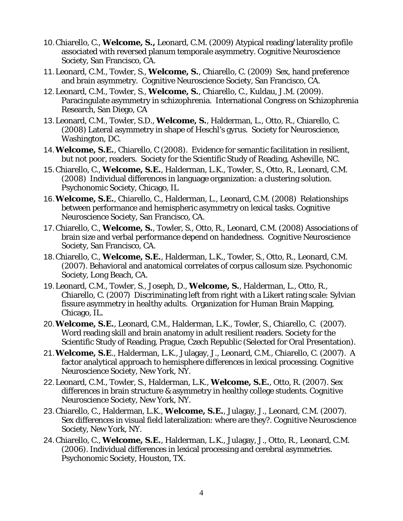- 10.Chiarello, C., **Welcome, S.,** Leonard, C.M. (2009) Atypical reading/laterality profile associated with reversed planum temporale asymmetry. Cognitive Neuroscience Society, San Francisco, CA.
- 11.Leonard, C.M., Towler, S., **Welcome, S.**, Chiarello, C. (2009) Sex, hand preference and brain asymmetry. Cognitive Neuroscience Society, San Francisco, CA.
- 12.Leonard, C.M., Towler, S., **Welcome, S.**, Chiarello, C., Kuldau, J.M. (2009). Paracingulate asymmetry in schizophrenia. International Congress on Schizophrenia Research, San Diego, CA
- 13.Leonard, C.M., Towler, S.D., **Welcome, S.**, Halderman, L., Otto, R., Chiarello, C. (2008) Lateral asymmetry in shape of Heschl's gyrus. Society for Neuroscience, Washington, DC.
- 14.**Welcome, S.E.**, Chiarello, C (2008). Evidence for semantic facilitation in resilient, but not poor, readers. Society for the Scientific Study of Reading, Asheville, NC.
- 15.Chiarello, C., **Welcome, S.E.**, Halderman, L.K., Towler, S., Otto, R., Leonard, C.M. (2008) Individual differences in language organization: a clustering solution. Psychonomic Society, Chicago, IL
- 16.**Welcome, S.E.**, Chiarello, C., Halderman, L., Leonard, C.M. (2008) Relationships between performance and hemispheric asymmetry on lexical tasks. Cognitive Neuroscience Society, San Francisco, CA.
- 17.Chiarello, C., **Welcome, S.**, Towler, S., Otto, R., Leonard, C.M. (2008) Associations of brain size and verbal performance depend on handedness. Cognitive Neuroscience Society, San Francisco, CA.
- 18.Chiarello, C., **Welcome, S.E.**, Halderman, L.K., Towler, S., Otto, R., Leonard, C.M. (2007). Behavioral and anatomical correlates of corpus callosum size. Psychonomic Society, Long Beach, CA.
- 19.Leonard, C.M., Towler, S., Joseph, D., **Welcome, S.**, Halderman, L., Otto, R., Chiarello, C. (2007) Discriminating left from right with a Likert rating scale: Sylvian fissure asymmetry in healthy adults. Organization for Human Brain Mapping, Chicago, IL.
- 20.**Welcome, S.E.**, Leonard, C.M., Halderman, L.K., Towler, S., Chiarello, C. (2007). Word reading skill and brain anatomy in adult resilient readers. Society for the Scientific Study of Reading, Prague, Czech Republic (Selected for Oral Presentation).
- 21.**Welcome, S.E**., Halderman, L.K., Julagay, J., Leonard, C.M., Chiarello, C. (2007). A factor analytical approach to hemisphere differences in lexical processing. Cognitive Neuroscience Society, New York, NY.
- 22.Leonard, C.M., Towler, S., Halderman, L.K., **Welcome, S.E.**, Otto, R. (2007). Sex differences in brain structure & asymmetry in healthy college students. Cognitive Neuroscience Society, New York, NY.
- 23.Chiarello, C., Halderman, L.K., **Welcome, S.E.**, Julagay, J., Leonard, C.M. (2007). Sex differences in visual field lateralization: where are they?. Cognitive Neuroscience Society, New York, NY.
- 24.Chiarello, C., **Welcome, S.E.**, Halderman, L.K., Julagay, J., Otto, R., Leonard, C.M. (2006). Individual differences in lexical processing and cerebral asymmetries. Psychonomic Society, Houston, TX.